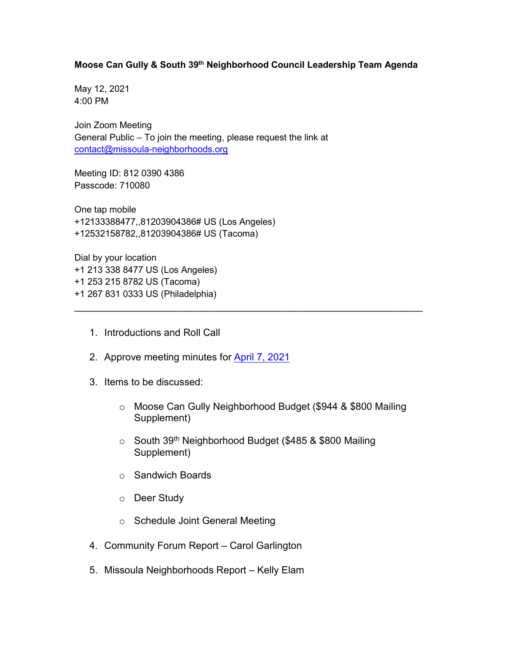# **Moose Can Gully & South 39th Neighborhood Council Leadership Team Agenda**

May 12, 2021 4:00 PM

Join Zoom Meeting General Public – To join the meeting, please request the link at [contact@missoula-neighborhoods.org](mailto:contact@missoula-neighborhoods.org)

Meeting ID: 812 0390 4386 Passcode: 710080

One tap mobile +12133388477,,81203904386# US (Los Angeles) +12532158782,,81203904386# US (Tacoma)

Dial by your location +1 213 338 8477 US (Los Angeles) +1 253 215 8782 US (Tacoma) +1 267 831 0333 US (Philadelphia)

- 1. Introductions and Roll Call
- 2. Approve meeting minutes for [April 7, 2021](https://www.ci.missoula.mt.us/Archive.aspx?ADID=15901)
- 3. Items to be discussed:
	- o Moose Can Gully Neighborhood Budget (\$944 & \$800 Mailing Supplement)
	- $\circ$  South 39<sup>th</sup> Neighborhood Budget (\$485 & \$800 Mailing Supplement)

\_\_\_\_\_\_\_\_\_\_\_\_\_\_\_\_\_\_\_\_\_\_\_\_\_\_\_\_\_\_\_\_\_\_\_\_\_\_\_\_\_\_\_\_\_\_\_\_\_\_\_\_\_\_\_\_\_\_\_\_\_\_\_

- o Sandwich Boards
- o Deer Study
- o Schedule Joint General Meeting
- 4. Community Forum Report Carol Garlington
- 5. Missoula Neighborhoods Report Kelly Elam